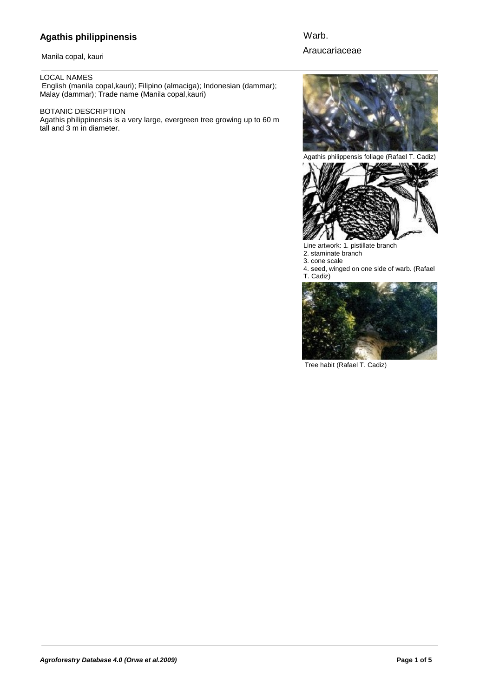Manila copal, kauri

### LOCAL NAMES

 English (manila copal,kauri); Filipino (almaciga); Indonesian (dammar); Malay (dammar); Trade name (Manila copal,kauri)

### BOTANIC DESCRIPTION

Agathis philippinensis is a very large, evergreen tree growing up to 60 m tall and 3 m in diameter.

## Warb.

# Araucariaceae



Agathis philippensis foliage (Rafael T. Cadiz)



Line artwork: 1. pistillate branch 2. staminate branch

3. cone scale

4. seed, winged on one side of warb. (Rafael T. Cadiz)



Tree habit (Rafael T. Cadiz)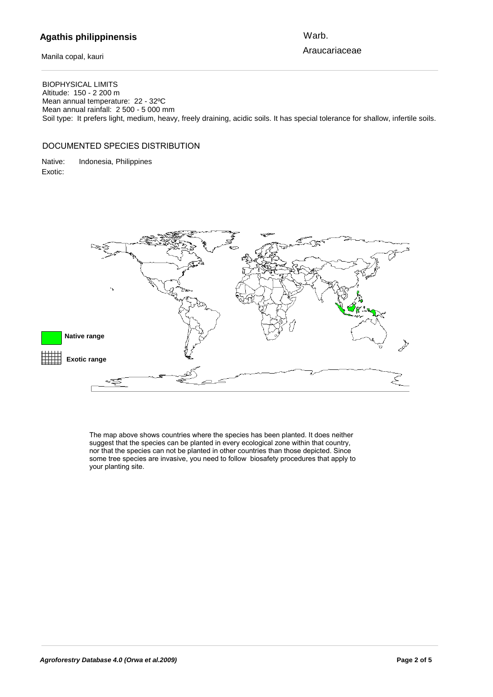Warb.

Manila copal, kauri

Araucariaceae

BIOPHYSICAL LIMITS Altitude: 150 - 2 200 m Mean annual temperature: 22 - 32ºC Mean annual rainfall: 2 500 - 5 000 mm Soil type: It prefers light, medium, heavy, freely draining, acidic soils. It has special tolerance for shallow, infertile soils.

### DOCUMENTED SPECIES DISTRIBUTION

Native: Indonesia, Philippines Exotic:



The map above shows countries where the species has been planted. It does neither suggest that the species can be planted in every ecological zone within that country, nor that the species can not be planted in other countries than those depicted. Since some tree species are invasive, you need to follow biosafety procedures that apply to your planting site.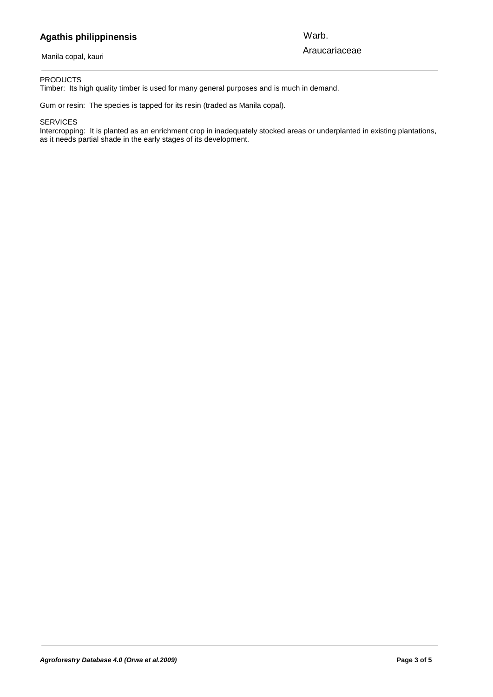#### **Agathis philippinensis** and the species can not be planted in other countries than those depicted. Since  $\mathcal{L}$  $\mathbf{u}$

Manila copal, kauri

Warb.

Araucariaceae

#### PRODUCTS

Timber: Its high quality timber is used for many general purposes and is much in demand.

Gum or resin: The species is tapped for its resin (traded as Manila copal).

#### **SERVICES**

Intercropping: It is planted as an enrichment crop in inadequately stocked areas or underplanted in existing plantations, as it needs partial shade in the early stages of its development.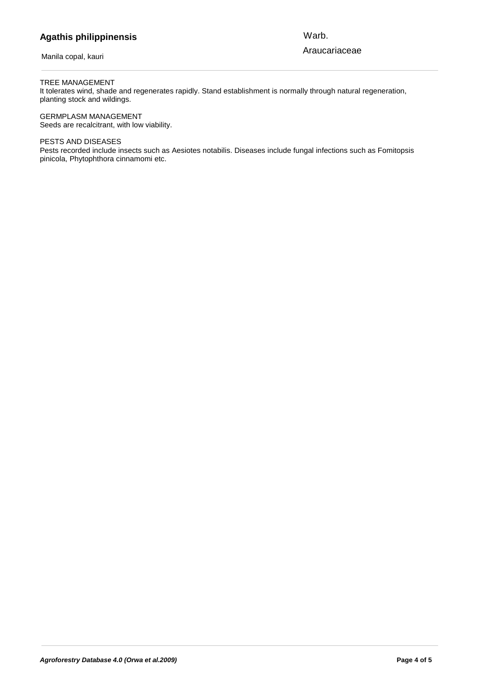Manila copal, kauri

Warb.

Araucariaceae

### TREE MANAGEMENT

It tolerates wind, shade and regenerates rapidly. Stand establishment is normally through natural regeneration, planting stock and wildings.

GERMPLASM MANAGEMENT Seeds are recalcitrant, with low viability.

### PESTS AND DISEASES

Pests recorded include insects such as Aesiotes notabilis. Diseases include fungal infections such as Fomitopsis pinicola, Phytophthora cinnamomi etc.